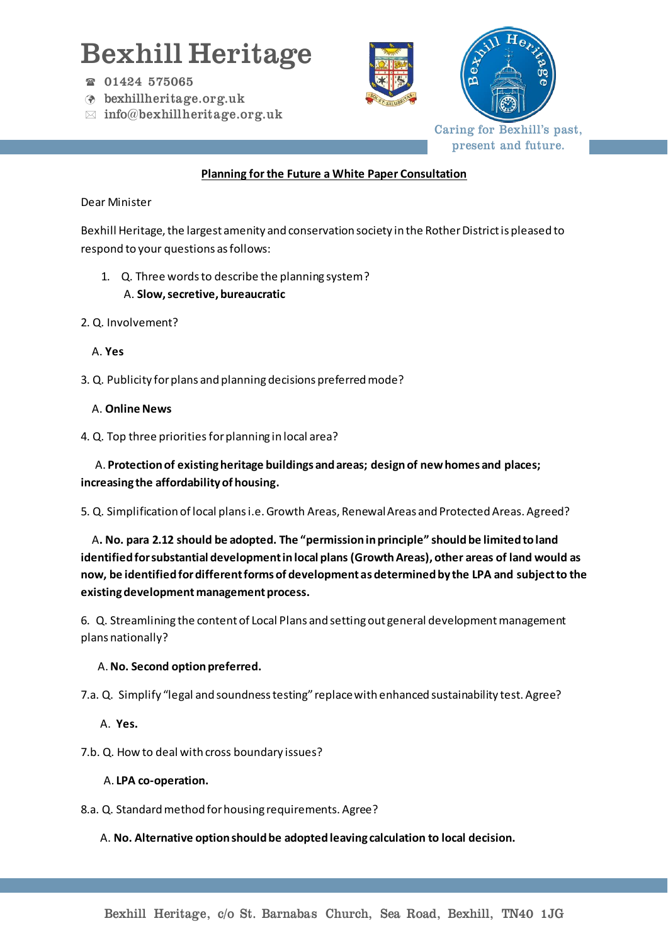# Bexhill Heritage

- 01424 575065
- bexhillheritage.org.uk
- $\boxtimes$  info@bexhillheritage.org.uk





Caring for Bexhill's past, present and future.

#### **Planning for the Future a White Paper Consultation**

#### Dear Minister

Bexhill Heritage, the largest amenity and conservation society in the Rother District is pleased to respond to your questions as follows:

- 1. Q. Three words to describe the planning system? A. **Slow, secretive, bureaucratic**
- 2. Q. Involvement?

## A. **Yes**

3. Q. Publicity for plans and planning decisions preferred mode?

## A. **Online News**

4. Q. Top three priorities for planning in local area?

 A. **Protection of existing heritage buildings and areas; design of new homes and places; increasing the affordability of housing.** 

5. Q. Simplification of local plans i.e. Growth Areas, Renewal Areas and Protected Areas. Agreed?

 A**. No. para 2.12 should be adopted. The "permission in principle" should be limited to land identified for substantial development in local plans (Growth Areas), other areas of land would as now, be identified for different forms of development as determined by the LPA and subject to the existing development management process.**

6. Q. Streamlining the content of Local Plans and setting out general development management plans nationally?

# A. **No. Second option preferred.**

7.a. Q. Simplify "legal and soundness testing" replace with enhanced sustainability test. Agree?

- A. **Yes.**
- 7.b. Q. How to deal with cross boundary issues?

#### A. **LPA co-operation.**

8.a. Q. Standard method for housing requirements. Agree?

#### A. **No. Alternative option should be adopted leaving calculation to local decision.**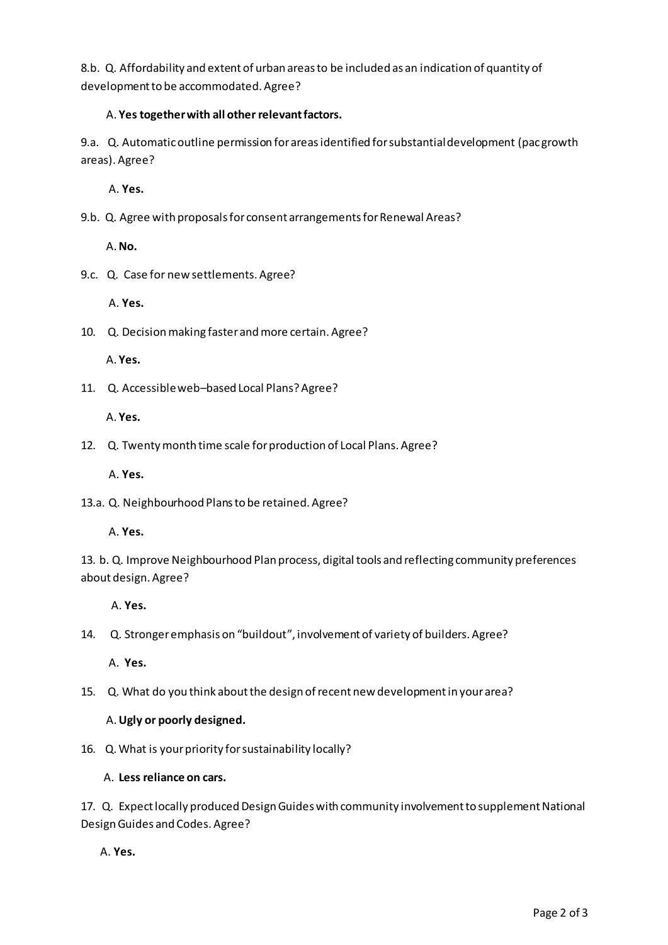8.b. Q. Affordability and extent of urban areas to be included as an indication of quantity of development to be accommodated. Agree?

## A. **Yes together with all other relevant factors.**

9.a. Q. Automatic outline permission for areas identified for substantial development (pacgrowth areas). Agree?

A. **Yes.**

9.b. Q. Agree with proposals for consent arrangements for Renewal Areas?

A. **No.** 

9.c. Q. Case for new settlements. Agree?

A. **Yes.**

10. Q. Decision making faster and more certain. Agree?

A. **Yes.**

11. Q. Accessible web–based Local Plans? Agree?

A. **Yes.**

12. Q. Twenty month time scale for production of Local Plans. Agree?

A. **Yes.**

13.a. Q. Neighbourhood Plans to be retained. Agree?

A. **Yes.**

13. b. Q. Improve Neighbourhood Plan process, digital tools and reflecting community preferences about design. Agree?

A. **Yes.**

14. Q. Stronger emphasis on "buildout", involvement of variety of builders. Agree?

A. **Yes.**

15. Q. What do you think about the design of recent new development in your area?

# A. **Ugly or poorly designed.**

16. Q. What is your priority for sustainability locally?

A. **Less reliance on cars.**

17. Q. Expect locally produced Design Guides with community involvement to supplement National Design Guides and Codes. Agree?

A. **Yes.**